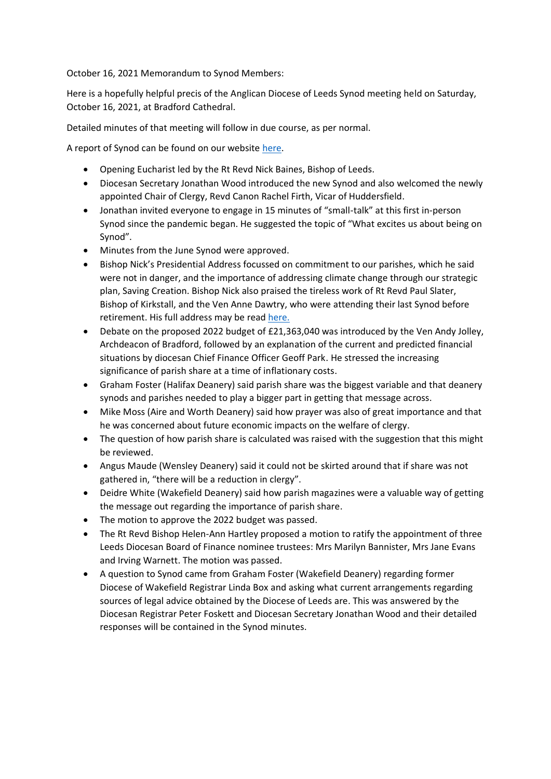October 16, 2021 Memorandum to Synod Members:

Here is a hopefully helpful precis of the Anglican Diocese of Leeds Synod meeting held on Saturday, October 16, 2021, at Bradford Cathedral.

Detailed minutes of that meeting will follow in due course, as per normal.

A report of Synod can be found on our website [here.](https://www.leeds.anglican.org/news/friends-and-colleagues-catch-synod-first-time-pandemic)

- Opening Eucharist led by the Rt Revd Nick Baines, Bishop of Leeds.
- Diocesan Secretary Jonathan Wood introduced the new Synod and also welcomed the newly appointed Chair of Clergy, Revd Canon Rachel Firth, Vicar of Huddersfield.
- Jonathan invited everyone to engage in 15 minutes of "small-talk" at this first in-person Synod since the pandemic began. He suggested the topic of "What excites us about being on Synod".
- Minutes from the June Synod were approved.
- Bishop Nick's Presidential Address focussed on commitment to our parishes, which he said were not in danger, and the importance of addressing climate change through our strategic plan, Saving Creation. Bishop Nick also praised the tireless work of Rt Revd Paul Slater, Bishop of Kirkstall, and the Ven Anne Dawtry, who were attending their last Synod before retirement. His full address may be read [here.](https://www.leeds.anglican.org/news/parishes-are-not-danger-and-national-church-can-learn-leeds-bishop-nick-tells-synod)
- Debate on the proposed 2022 budget of £21,363,040 was introduced by the Ven Andy Jolley, Archdeacon of Bradford, followed by an explanation of the current and predicted financial situations by diocesan Chief Finance Officer Geoff Park. He stressed the increasing significance of parish share at a time of inflationary costs.
- Graham Foster (Halifax Deanery) said parish share was the biggest variable and that deanery synods and parishes needed to play a bigger part in getting that message across.
- Mike Moss (Aire and Worth Deanery) said how prayer was also of great importance and that he was concerned about future economic impacts on the welfare of clergy.
- The question of how parish share is calculated was raised with the suggestion that this might be reviewed.
- Angus Maude (Wensley Deanery) said it could not be skirted around that if share was not gathered in, "there will be a reduction in clergy".
- Deidre White (Wakefield Deanery) said how parish magazines were a valuable way of getting the message out regarding the importance of parish share.
- The motion to approve the 2022 budget was passed.
- The Rt Revd Bishop Helen-Ann Hartley proposed a motion to ratify the appointment of three Leeds Diocesan Board of Finance nominee trustees: Mrs Marilyn Bannister, Mrs Jane Evans and Irving Warnett. The motion was passed.
- A question to Synod came from Graham Foster (Wakefield Deanery) regarding former Diocese of Wakefield Registrar Linda Box and asking what current arrangements regarding sources of legal advice obtained by the Diocese of Leeds are. This was answered by the Diocesan Registrar Peter Foskett and Diocesan Secretary Jonathan Wood and their detailed responses will be contained in the Synod minutes.